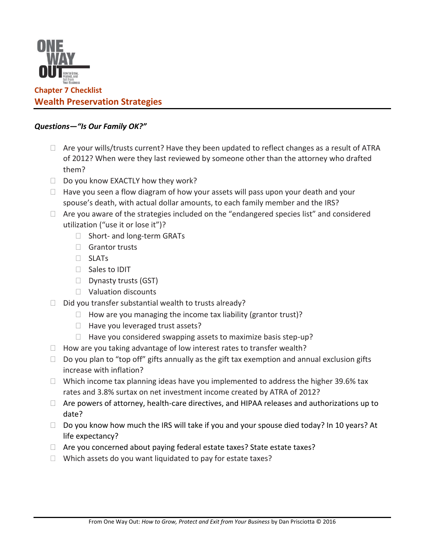

## *Questions—"Is Our Family OK?"*

- $\Box$  Are your wills/trusts current? Have they been updated to reflect changes as a result of ATRA of 2012? When were they last reviewed by someone other than the attorney who drafted them?
- $\Box$  Do you know EXACTLY how they work?
- $\Box$  Have you seen a flow diagram of how your assets will pass upon your death and your spouse's death, with actual dollar amounts, to each family member and the IRS?
- $\Box$  Are you aware of the strategies included on the "endangered species list" and considered utilization ("use it or lose it")?
	- □ Short- and long-term GRATs
	- Grantor trusts
	- SLATs
	- □ Sales to IDIT
	- $\Box$  Dynasty trusts (GST)
	- □ Valuation discounts
- $\Box$  Did you transfer substantial wealth to trusts already?
	- $\Box$  How are you managing the income tax liability (grantor trust)?
	- $\Box$  Have you leveraged trust assets?
	- $\Box$  Have you considered swapping assets to maximize basis step-up?
- $\Box$  How are you taking advantage of low interest rates to transfer wealth?
- $\Box$  Do you plan to "top off" gifts annually as the gift tax exemption and annual exclusion gifts increase with inflation?
- $\Box$  Which income tax planning ideas have you implemented to address the higher 39.6% tax rates and 3.8% surtax on net investment income created by ATRA of 2012?
- $\Box$  Are powers of attorney, health-care directives, and HIPAA releases and authorizations up to date?
- $\Box$  Do you know how much the IRS will take if you and your spouse died today? In 10 years? At life expectancy?
- $\Box$  Are you concerned about paying federal estate taxes? State estate taxes?
- $\Box$  Which assets do you want liquidated to pay for estate taxes?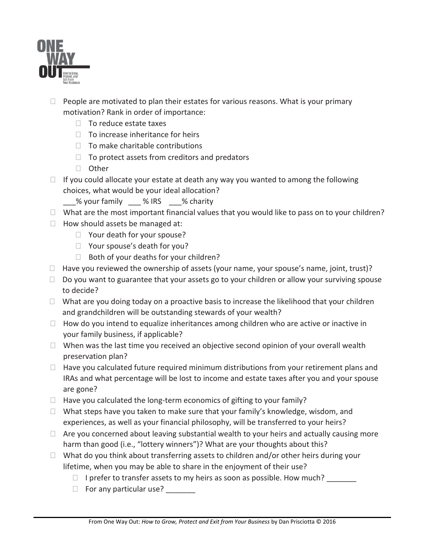

- $\Box$  People are motivated to plan their estates for various reasons. What is your primary motivation? Rank in order of importance:
	- $\Box$  To reduce estate taxes
	- $\Box$  To increase inheritance for heirs
	- $\Box$  To make charitable contributions
	- $\Box$  To protect assets from creditors and predators
	- □ Other
- $\Box$  If you could allocate your estate at death any way you wanted to among the following choices, what would be your ideal allocation?
	- % your family do use South Sourity
- $\Box$  What are the most important financial values that you would like to pass on to your children?
- $\Box$  How should assets be managed at:
	- □ Your death for your spouse?
	- □ Your spouse's death for you?
	- $\Box$  Both of your deaths for your children?
- $\Box$  Have you reviewed the ownership of assets (your name, your spouse's name, joint, trust)?
- $\Box$  Do you want to guarantee that your assets go to your children or allow your surviving spouse to decide?
- $\Box$  What are you doing today on a proactive basis to increase the likelihood that your children and grandchildren will be outstanding stewards of your wealth?
- $\Box$  How do you intend to equalize inheritances among children who are active or inactive in your family business, if applicable?
- $\Box$  When was the last time you received an objective second opinion of your overall wealth preservation plan?
- $\Box$  Have you calculated future required minimum distributions from your retirement plans and IRAs and what percentage will be lost to income and estate taxes after you and your spouse are gone?
- $\Box$  Have you calculated the long-term economics of gifting to your family?
- $\Box$  What steps have you taken to make sure that your family's knowledge, wisdom, and experiences, as well as your financial philosophy, will be transferred to your heirs?
- $\Box$  Are you concerned about leaving substantial wealth to your heirs and actually causing more harm than good (i.e., "lottery winners")? What are your thoughts about this?
- $\Box$  What do you think about transferring assets to children and/or other heirs during your lifetime, when you may be able to share in the enjoyment of their use?
	- $\Box$  I prefer to transfer assets to my heirs as soon as possible. How much?
	- □ For any particular use? <u>\_\_\_\_\_\_</u>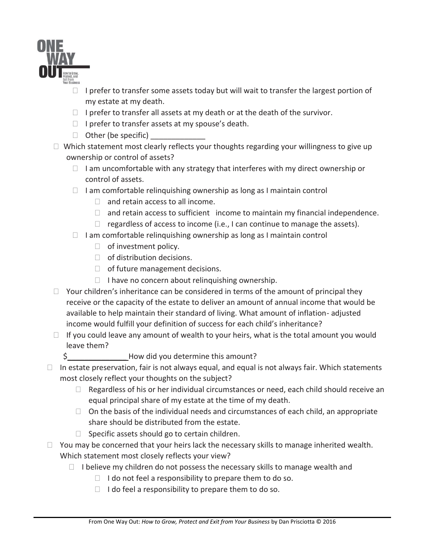

- $\Box$  I prefer to transfer some assets today but will wait to transfer the largest portion of my estate at my death.
- $\Box$  I prefer to transfer all assets at my death or at the death of the survivor.
- $\Box$  I prefer to transfer assets at my spouse's death.
- $\Box$  Other (be specific)
- $\Box$  Which statement most clearly reflects your thoughts regarding your willingness to give up ownership or control of assets?
	- $\Box$  I am uncomfortable with any strategy that interferes with my direct ownership or control of assets.
	- $\Box$  I am comfortable relinguishing ownership as long as I maintain control
		- $\Box$  and retain access to all income.
		- $\Box$  and retain access to sufficient income to maintain my financial independence.
		- $\Box$  regardless of access to income (i.e., I can continue to manage the assets).
	- $\Box$  I am comfortable relinquishing ownership as long as I maintain control
		- $\Box$  of investment policy.
		- $\Box$  of distribution decisions.
		- $\Box$  of future management decisions.
		- $\Box$  I have no concern about relinguishing ownership.
- $\Box$  Your children's inheritance can be considered in terms of the amount of principal they receive or the capacity of the estate to deliver an amount of annual income that would be available to help maintain their standard of living. What amount of inflation- adjusted income would fulfill your definition of success for each child's inheritance?
- $\Box$  If you could leave any amount of wealth to your heirs, what is the total amount you would leave them?

\$\_\_\_\_\_\_\_\_\_\_\_\_\_\_ How did you determine this amount?

- $\Box$  In estate preservation, fair is not always equal, and equal is not always fair. Which statements most closely reflect your thoughts on the subject?
	- $\Box$  Regardless of his or her individual circumstances or need, each child should receive an equal principal share of my estate at the time of my death.
	- $\Box$  On the basis of the individual needs and circumstances of each child, an appropriate share should be distributed from the estate.
	- $\Box$  Specific assets should go to certain children.
- $\Box$  You may be concerned that your heirs lack the necessary skills to manage inherited wealth. Which statement most closely reflects your view?
	- $\Box$  I believe my children do not possess the necessary skills to manage wealth and
		- $\Box$  I do not feel a responsibility to prepare them to do so.
		- $\Box$  I do feel a responsibility to prepare them to do so.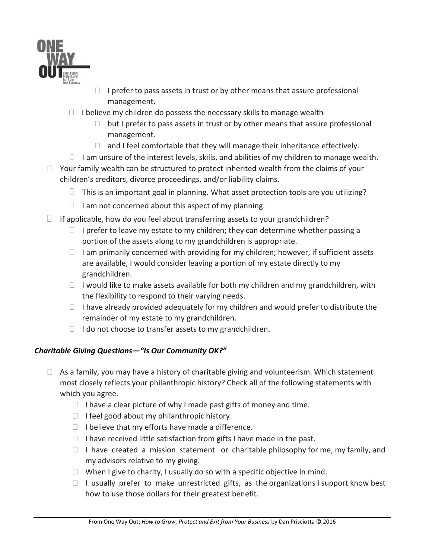

- $\Box$  I prefer to pass assets in trust or by other means that assure professional management.
- $\Box$  I believe my children do possess the necessary skills to manage wealth
	- $\Box$  but I prefer to pass assets in trust or by other means that assure professional management.
	- $\Box$  and I feel comfortable that they will manage their inheritance effectively.
- $\Box$  I am unsure of the interest levels, skills, and abilities of my children to manage wealth.
- $\Box$  Your family wealth can be structured to protect inherited wealth from the claims of your children's creditors, divorce proceedings, and/or liability claims.
	- $\Box$  This is an important goal in planning. What asset protection tools are you utilizing?
	- $\Box$  I am not concerned about this aspect of my planning.
- $\Box$  If applicable, how do you feel about transferring assets to your grandchildren?
	- $\Box$  I prefer to leave my estate to my children; they can determine whether passing a portion of the assets along to my grandchildren is appropriate.
	- $\Box$  I am primarily concerned with providing for my children; however, if sufficient assets are available, I would consider leaving a portion of my estate directly to my grandchildren.
	- $\Box$  I would like to make assets available for both my children and my grandchildren, with the flexibility to respond to their varying needs.
	- $\Box$  I have already provided adequately for my children and would prefer to distribute the remainder of my estate to my grandchildren.
	- $\Box$  I do not choose to transfer assets to my grandchildren.

## *Charitable Giving Questions—"Is Our Community OK?"*

- $\Box$  As a family, you may have a history of charitable giving and volunteerism. Which statement most closely reflects your philanthropic history? Check all of the following statements with which you agree.
	- $\Box$  I have a clear picture of why I made past gifts of money and time.
	- $\Box$  I feel good about my philanthropic history.
	- $\Box$  I believe that my efforts have made a difference.
	- $\Box$  I have received little satisfaction from gifts I have made in the past.
	- $\Box$  I have created a mission statement or charitable philosophy for me, my family, and my advisors relative to my giving.
	- $\Box$  When I give to charity, I usually do so with a specific objective in mind.
	- $\Box$  I usually prefer to make unrestricted gifts, as the organizations I support know best how to use those dollars for their greatest benefit.